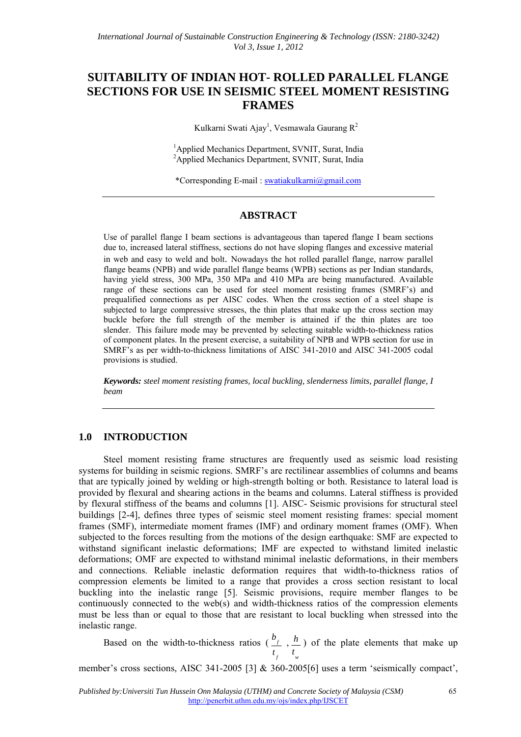# **SUITABILITY OF INDIAN HOT- ROLLED PARALLEL FLANGE SECTIONS FOR USE IN SEISMIC STEEL MOMENT RESISTING FRAMES**

Kulkarni Swati Ajay<sup>1</sup>, Vesmawala Gaurang R<sup>2</sup>

<sup>1</sup> Applied Mechanics Department, SVNIT, Surat, India <sup>2</sup>Applied Mechanics Department, SVNIT, Surat, India

\*Corresponding E-mail : swatiakulkarni@gmail.com

### **ABSTRACT**

Use of parallel flange I beam sections is advantageous than tapered flange I beam sections due to, increased lateral stiffness, sections do not have sloping flanges and excessive material in web and easy to weld and bolt. Nowadays the hot rolled parallel flange, narrow parallel flange beams (NPB) and wide parallel flange beams (WPB) sections as per Indian standards, having yield stress, 300 MPa, 350 MPa and 410 MPa are being manufactured. Available range of these sections can be used for steel moment resisting frames (SMRF's) and prequalified connections as per AISC codes. When the cross section of a steel shape is subjected to large compressive stresses, the thin plates that make up the cross section may buckle before the full strength of the member is attained if the thin plates are too slender. This failure mode may be prevented by selecting suitable width-to-thickness ratios of component plates. In the present exercise, a suitability of NPB and WPB section for use in SMRF's as per width-to-thickness limitations of AISC 341-2010 and AISC 341-2005 codal provisions is studied.

*Keywords: steel moment resisting frames, local buckling, slenderness limits, parallel flange, I beam*

## **1.0 INTRODUCTION**

Steel moment resisting frame structures are frequently used as seismic load resisting systems for building in seismic regions. SMRF's are rectilinear assemblies of columns and beams that are typically joined by welding or high-strength bolting or both. Resistance to lateral load is provided by flexural and shearing actions in the beams and columns. Lateral stiffness is provided by flexural stiffness of the beams and columns [1]. AISC- Seismic provisions for structural steel buildings [2-4], defines three types of seismic steel moment resisting frames: special moment frames (SMF), intermediate moment frames (IMF) and ordinary moment frames (OMF). When subjected to the forces resulting from the motions of the design earthquake: SMF are expected to withstand significant inelastic deformations; IMF are expected to withstand limited inelastic deformations; OMF are expected to withstand minimal inelastic deformations, in their members and connections. Reliable inelastic deformation requires that width-to-thickness ratios of compression elements be limited to a range that provides a cross section resistant to local buckling into the inelastic range [5]. Seismic provisions, require member flanges to be continuously connected to the web(s) and width-thickness ratios of the compression elements must be less than or equal to those that are resistant to local buckling when stressed into the inelastic range.

Based on the width-to-thickness ratios ( *f f t*  $\frac{b_{f}}{2}$ , *w t*  $\frac{h}{h}$ ) of the plate elements that make up

member's cross sections, AISC 341-2005 [3] & 360-2005[6] uses a term 'seismically compact',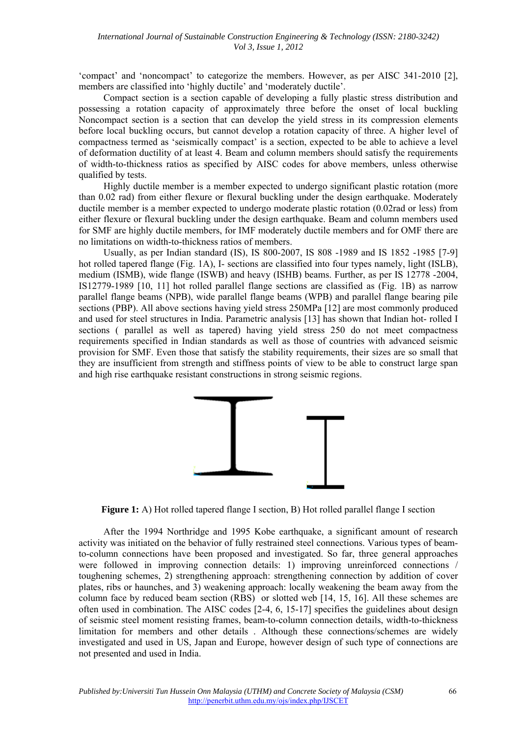'compact' and 'noncompact' to categorize the members. However, as per AISC 341-2010 [2], members are classified into 'highly ductile' and 'moderately ductile'.

Compact section is a section capable of developing a fully plastic stress distribution and possessing a rotation capacity of approximately three before the onset of local buckling Noncompact section is a section that can develop the yield stress in its compression elements before local buckling occurs, but cannot develop a rotation capacity of three. A higher level of compactness termed as 'seismically compact' is a section, expected to be able to achieve a level of deformation ductility of at least 4. Beam and column members should satisfy the requirements of width-to-thickness ratios as specified by AISC codes for above members, unless otherwise qualified by tests.

Highly ductile member is a member expected to undergo significant plastic rotation (more than 0.02 rad) from either flexure or flexural buckling under the design earthquake. Moderately ductile member is a member expected to undergo moderate plastic rotation (0.02rad or less) from either flexure or flexural buckling under the design earthquake. Beam and column members used for SMF are highly ductile members, for IMF moderately ductile members and for OMF there are no limitations on width-to-thickness ratios of members.

Usually, as per Indian standard (IS), IS 800-2007, IS 808 -1989 and IS 1852 -1985 [7-9] hot rolled tapered flange (Fig. 1A), I- sections are classified into four types namely, light (ISLB), medium (ISMB), wide flange (ISWB) and heavy (ISHB) beams. Further, as per IS 12778 -2004, IS12779-1989 [10, 11] hot rolled parallel flange sections are classified as (Fig. 1B) as narrow parallel flange beams (NPB), wide parallel flange beams (WPB) and parallel flange bearing pile sections (PBP). All above sections having yield stress 250MPa [12] are most commonly produced and used for steel structures in India. Parametric analysis [13] has shown that Indian hot- rolled I sections ( parallel as well as tapered) having yield stress 250 do not meet compactness requirements specified in Indian standards as well as those of countries with advanced seismic provision for SMF. Even those that satisfy the stability requirements, their sizes are so small that they are insufficient from strength and stiffness points of view to be able to construct large span and high rise earthquake resistant constructions in strong seismic regions.



**Figure 1:** A) Hot rolled tapered flange I section, B) Hot rolled parallel flange I section

After the 1994 Northridge and 1995 Kobe earthquake, a significant amount of research activity was initiated on the behavior of fully restrained steel connections. Various types of beamto-column connections have been proposed and investigated. So far, three general approaches were followed in improving connection details: 1) improving unreinforced connections / toughening schemes, 2) strengthening approach: strengthening connection by addition of cover plates, ribs or haunches, and 3) weakening approach: locally weakening the beam away from the column face by reduced beam section (RBS) or slotted web [14, 15, 16]. All these schemes are often used in combination. The AISC codes  $[2-4, 6, 15-17]$  specifies the guidelines about design of seismic steel moment resisting frames, beam-to-column connection details, width-to-thickness limitation for members and other details . Although these connections/schemes are widely investigated and used in US, Japan and Europe, however design of such type of connections are not presented and used in India.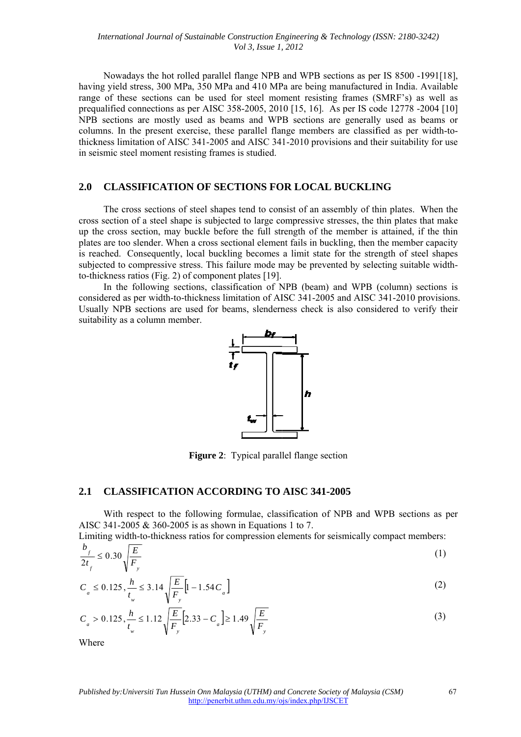having yield stress, 300 MPa, 350 MPa and 410 MPa are being manufactured in India. Available range of these sections can be used for steel moment resisting frames (SMRF's) as well as prequalified connections as per AISC 358-2005, 2010 [15, 16]. As per IS code 12778 -2004 [10] NPB sections are mostly used as beams and WPB sections are generally used as beams or columns. In the present exercise, these parallel flange members are classified as per width-tothickness limitation of AISC 341-2005 and AISC 341-2010 provisions and their suitability for use in seismic steel moment resisting frames is studied. Nowadays the hot rolled parallel flange NPB and WPB sections as per IS 8500 -1991[18],

#### **2.0 CLASSIFICATION OF SECTIONS FOR LOCAL BUCKLING**

cross section of a steel shape is subjected to large compressive stresses, the thin plates that make up the cross section, may buckle before the full strength of the member is attained, if the thin plates are too slender. When a cross sectional element fails in buckling, then the member capacity is reached. Consequently, local buckling becomes a limit state for the strength of steel shapes subjected to compressive stress. This failure mode may be prevented by selecting suitable widthto-thickness ratios (Fig. 2) of component plates  $[19]$ . The cross sections of steel shapes tend to consist of an assembly of thin plates. When the

considered as per width-to-thickness limitation of AISC 341-2005 and AISC 341-2010 provisions. Usually NPB sections are used for beams, slenderness check is also considered to verify their suitability as a column member. In the following sections, classification of NPB (beam) and WPB (column) sections is



**Figure 2**: Typical parallel flange section

#### **2.1 CLASSI IFICATION N ACCOR RDING TO AISC 341- -2005**

AISC 341-2005  $\&$  360-2005 is as shown in Equations 1 to 7. With respect to the following formulae, classification of NPB and WPB sections as per

Limiting width-to-thickness ratios for compression elements for seismically compact members:

$$
\frac{b_f}{2t_f} \le 0.30 \sqrt{\frac{E}{F_y}}
$$
 (1)

$$
C_a \le 0.125, \frac{h}{t_w} \le 3.14 \sqrt{\frac{E}{F_y}} \Big[ 1 - 1.54 C_a \Big]
$$
 (2)

$$
C_a > 0.125, \frac{h}{t_w} \le 1.12 \sqrt{\frac{E}{F_y}} \Big[ 2.33 - C_a \Big] \ge 1.49 \sqrt{\frac{E}{F_y}}
$$
(3)

Where

67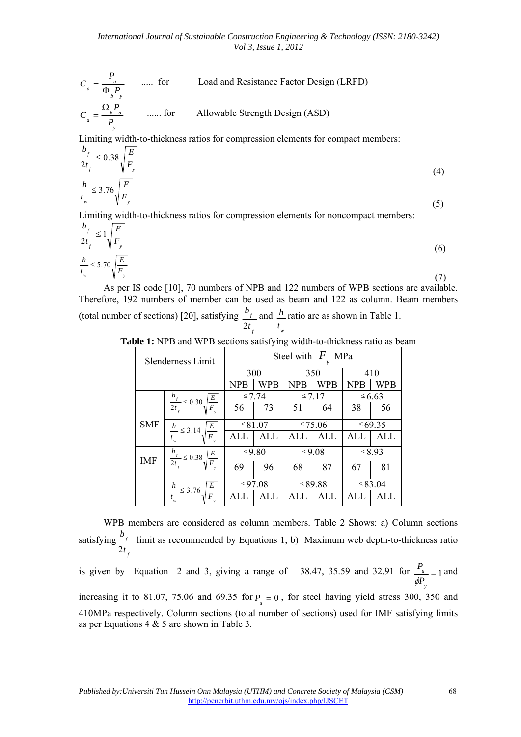$$
C_a = \frac{P_u}{\Phi_b P_y}
$$
 ..... for Load and Resistance Factor Design (LRFD)  

$$
C_a = \frac{\Omega_b P_a}{P_y}
$$
 ..... for Allowable Strength Design (ASD)

<sup>*y*</sup><br> *Limiting width-to-thickness ratios for compression elements for compact members:* 

$$
\frac{b_f}{2t_f} \le 0.38 \sqrt{\frac{E}{F_y}}
$$
\n
$$
\frac{h}{t_w} \le 3.76 \sqrt{\frac{E}{F_y}}
$$
\n(4)

Limiting width-to-thickness ratios for compression elements for noncompact members:

$$
\frac{b_f}{2t_f} \le 1 \sqrt{\frac{E}{F_y}}
$$
\n
$$
\frac{h}{t_w} \le 5.70 \sqrt{\frac{E}{F_y}}
$$
\n(6)

As per IS code [10], 70 numbers of NPB and 122 numbers of WPB sections are available. Therefore, 192 numbers of member can be used as beam and 122 as column. Beam members (total number of sections) [20], satisfying *f f t b* 2 and *w t <sup>h</sup>* ratio are as shown in Table 1.

**Table 1:** NPB and WPB sections satisfying width-to-thickness ratio as beam

|            | Slenderness Limit                                 | Steel with $F$ MPa |        |             |          |             |             |
|------------|---------------------------------------------------|--------------------|--------|-------------|----------|-------------|-------------|
|            |                                                   | 300                |        | 350         |          | 410         |             |
|            |                                                   | <b>NPB</b>         | WPB    | WPB<br>NPB  |          | NPB         | WPB         |
|            |                                                   | ≤7.74              |        | $\leq 7.17$ |          |             | $\leq 6.63$ |
|            | $\frac{b_f}{2t_f} \leq 0.30 \sqrt{\frac{E}{F_y}}$ | 56                 | 73     | 51          | 64       | 38          | 56          |
| <b>SMF</b> |                                                   | ≤ 81.07            |        |             | $≤75.06$ |             | ≤ 69.35     |
|            | $rac{h}{t_{w}} \leq 3.14 \sqrt{\frac{E}{F_{v}}}$  | <b>ALL</b>         | ALL    | ALL         | ALI.     | ALI         | ALL         |
| IMF        | $\frac{b_f}{2t_f} \leq 0.38 \sqrt{\frac{E}{F_y}}$ |                    | ≤9.80  |             | $≤9.08$  | $\leq 8.93$ |             |
|            |                                                   | 69                 | 96     | 68          | 87       | 67          | 81          |
|            |                                                   |                    | ≤97.08 |             | ≤ 89.88  |             | ≤ 83.04     |
|            | $\frac{E}{F}$<br>$\frac{h}{t} \leq 3.76 \sqrt{1}$ | AIJ                | ALL.   | ALI         | AIJ      | ALI         | ALL         |

WPB members are considered as column members. Table 2 Shows: a) Column sections satisfying *f f t b* 2 limit as recommended by Equations 1, b) Maximum web depth-to-thickness ratio

is given by Equation 2 and 3, giving a range of 38.47, 35.59 and 32.91 for  $\frac{1}{\sqrt{2}} = 1$ *y u P P*  $\phi$ and

increasing it to 81.07, 75.06 and 69.35 for  $P = 0$ , for steel having yield stress 300, 350 and 410MPa respectively. Column sections (total number of sections) used for IMF satisfying limits as per Equations 4 & 5 are shown in Table 3.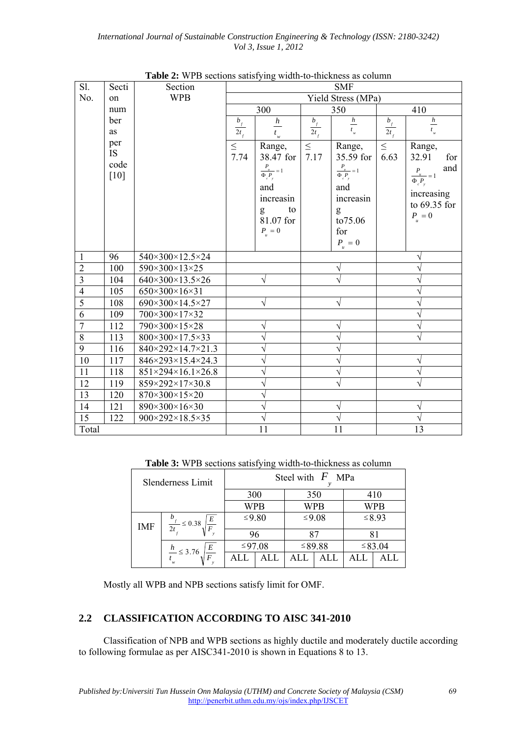| Sl.                     | Secti            | Section                                  |                          |                              |                          | <b>SMF</b>                   |                        |                                |
|-------------------------|------------------|------------------------------------------|--------------------------|------------------------------|--------------------------|------------------------------|------------------------|--------------------------------|
| No.                     | on               | <b>WPB</b>                               |                          |                              |                          | Yield Stress (MPa)           |                        |                                |
|                         | num              |                                          |                          | 300                          |                          | 350                          |                        | 410                            |
|                         | ber              |                                          | $\frac{b_{_f}}{2t_{_f}}$ | $\boldsymbol{h}$             |                          | $\frac{h}{t_w}$              |                        | $\frac{h}{t_w}$                |
|                         | as               |                                          |                          | $t_{_w}$                     | $\frac{b_{_f}}{2t_{_f}}$ |                              | $\frac{b_{f}}{2t_{f}}$ |                                |
|                         | per<br><b>IS</b> |                                          | $\leq$                   | Range,                       | $\leq$                   | Range,                       | $\leq$                 | Range,                         |
|                         | code             |                                          | 7.74                     | 38.47 for                    | 7.17                     | 35.59 for                    | 6.63                   | 32.91<br>for                   |
|                         | $[10]$           |                                          |                          | $\frac{P_u}{\Phi_c P_y} = 1$ |                          | $\frac{P_u}{\Phi_c P_y} = 1$ |                        | and<br>$\frac{P_{u}}{P_{u}}=1$ |
|                         |                  |                                          |                          | and                          |                          | and                          |                        | $\Phi_{c}P_{y}$                |
|                         |                  |                                          |                          | increasin                    |                          | increasin                    |                        | increasing                     |
|                         |                  |                                          |                          | to<br>g                      |                          | g                            |                        | to 69.35 for                   |
|                         |                  |                                          |                          | 81.07 for                    |                          | to75.06                      |                        | $P_{_u}=0$                     |
|                         |                  |                                          |                          | $P_{_u}=0$                   |                          | for                          |                        |                                |
|                         |                  |                                          |                          |                              |                          | $P_{_u}=0$                   |                        |                                |
| $\mathbf{1}$            | 96               | 540×300×12.5×24                          |                          |                              |                          |                              |                        | $\sqrt{}$                      |
| $\overline{2}$          | 100              | 590×300×13×25                            |                          |                              |                          |                              |                        |                                |
| $\overline{\mathbf{3}}$ | 104              | 640×300×13.5×26                          |                          | $\sqrt{}$                    |                          |                              |                        | V                              |
| $\overline{4}$          | 105              | $650 \times 300 \times 16 \times 31$     |                          |                              |                          |                              |                        | V                              |
| $\overline{5}$          | 108              | 690×300×14.5×27                          |                          | $\sqrt{}$                    |                          | V                            |                        | N                              |
| 6                       | 109              | 700×300×17×32                            |                          |                              |                          |                              |                        | V                              |
| $\tau$                  | 112              | 790×300×15×28                            |                          | V                            |                          |                              |                        | V                              |
| $\overline{8}$          | 113              | $800 \times 300 \times 17.5 \times 33$   |                          | $\sqrt{}$                    |                          |                              |                        | N                              |
| 9                       | 116              | 840×292×14.7×21.3                        |                          | ٦                            |                          |                              |                        |                                |
| $10\,$                  | 117              | 846×293×15.4×24.3                        |                          | $\sqrt{}$                    |                          |                              |                        | V                              |
| 11                      | 118              | $851 \times 294 \times 16.1 \times 26.8$ |                          | ٦                            |                          |                              |                        | V                              |
| 12                      | 119              | 859×292×17×30.8                          |                          | $\sqrt{}$                    |                          |                              |                        | $\overline{v}$                 |
| 13                      | 120              | 870×300×15×20                            |                          | V                            |                          |                              |                        |                                |
| 14                      | 121              | 890×300×16×30                            |                          | V                            |                          |                              |                        | V                              |
| 15                      | 122              | 900×292×18.5×35                          |                          | $\sqrt{ }$                   |                          |                              |                        | $\sqrt{2}$                     |
| Total                   |                  |                                          |                          | 11                           |                          | 11                           |                        | 13                             |

**Table 2:** WPB sections satisfying width-to-thickness as column

**Table 3:** WPB sections satisfying width-to-thickness as column

|            | Slenderness Limit                         | Steel with $F$ MPa |            |       |           |         |             |
|------------|-------------------------------------------|--------------------|------------|-------|-----------|---------|-------------|
|            |                                           | 300                |            | 350   |           | 410     |             |
|            |                                           |                    | <b>WPB</b> |       | WPB       |         | <b>WPB</b>  |
| <b>IMF</b> | $\cal E$<br>$- 50.38$<br>$\boldsymbol{E}$ |                    | ≤9.80      | ≤9.08 |           |         | $\leq 8.93$ |
|            |                                           | 96                 |            | Q7    |           |         |             |
|            | E<br>$\frac{h}{m} \leq 3.76$              | ≤97.08             |            |       | $≤ 89.88$ | ≤ 83.04 |             |
|            | $\bm{F}$                                  |                    |            |       |           |         |             |

Mostly all WPB and NPB sections satisfy limit for OMF.

# **2.2 CLASSIFICATION ACCORDING TO AISC 341-2010**

Classification of NPB and WPB sections as highly ductile and moderately ductile according to following formulae as per AISC341-2010 is shown in Equations 8 to 13.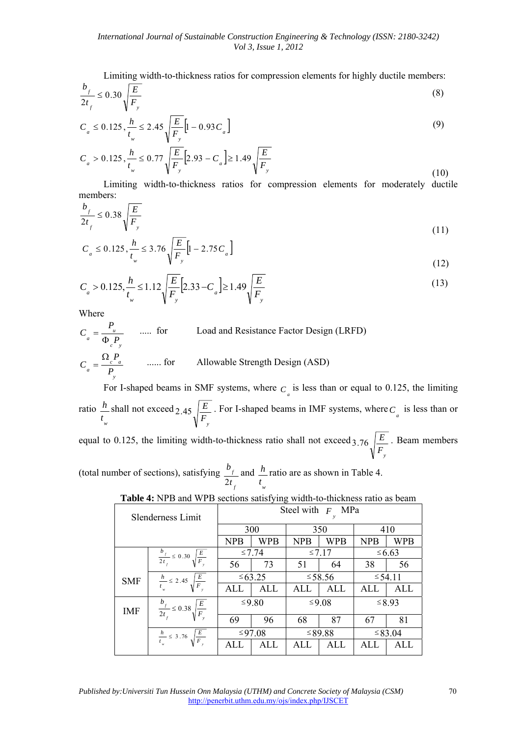Limiting width-to-thickness ratios for compression elements for highly ductile members:

$$
\frac{b_f}{2t_f} \le 0.30 \sqrt{\frac{E}{F_y}}
$$
\n
$$
\tag{8}
$$

$$
C_a \le 0.125, \frac{h}{t_w} \le 2.45 \sqrt{\frac{E}{F_y}} \Big[ 1 - 0.93 C_a \Big]
$$
 (9)

$$
C_a > 0.125, \frac{h}{t_w} \le 0.77 \sqrt{\frac{E}{F_y}} \Big[ 2.93 - C_a \Big] \ge 1.49 \sqrt{\frac{E}{F_y}}
$$
\n(10)

Limiting width-to-thickness ratios for compression elements for moderately ductile members:

$$
\frac{b_f}{2t_f} \le 0.38 \sqrt{\frac{E}{F_y}}
$$
\n(11)

$$
C_a \le 0.125 \frac{h}{t_w} \le 3.76 \sqrt{\frac{E}{F_y}} \Big[ 1 - 2.75 C_a \Big]
$$
\n(12)

$$
C_a > 0.125, \frac{h}{t_w} \le 1.12 \sqrt{\frac{E}{F_y}} \Big[ 2.33 - C_a \Big] \ge 1.49 \sqrt{\frac{E}{F_y}}
$$
(13)

Where

$$
C_a = \frac{P_a}{\Phi_c P_y}
$$
 ..... for Load and Resistance Factor Design (LRFD)  

$$
C_a = \frac{\Omega_c P_a}{P_y}
$$
 ..... for Allowable Strength Design (ASD)

For I-shaped beams in SMF systems, where  $C_a$  is less than or equal to 0.125, the limiting ratio *w t <sup>h</sup>* shall not exceed  $\overline{F}_y$ 2.45  $\left| \frac{E}{E} \right|$ . For I-shaped beams in IMF systems, where  $C_a$  is less than or equal to 0.125, the limiting width-to-thickness ratio shall not exceed  $F_{y}$ 3.76  $\left| \frac{E}{\epsilon} \right|$ . Beam members

(total number of sections), satisfying *f f t b* 2 and *w t <sup>h</sup>* ratio are as shown in Table 4.

|            | Slenderness Limit                                 |             |            |                          | Steel with $F$ MPa |                        |             |
|------------|---------------------------------------------------|-------------|------------|--------------------------|--------------------|------------------------|-------------|
|            |                                                   | 300         |            | 350                      |                    | 410                    |             |
|            |                                                   |             | WPB        | <b>WPB</b><br><b>NPB</b> |                    | <b>NPB</b>             | WPB         |
|            | $\frac{b_f}{2t_f} \leq 0.30 \sqrt{\frac{E}{F_v}}$ | $\leq 7.74$ |            | $\leq 7.17$              |                    |                        | $\leq 6.63$ |
|            |                                                   | 56          | 73         | 51                       | 64                 | 38                     | 56          |
| <b>SMF</b> | $rac{h}{t_w} \leq 2.45 \sqrt{\frac{E}{F_w}}$      |             | ≤ 63.25    |                          | $≤ 58.56$          |                        |             |
|            |                                                   | ALL         | <b>ALL</b> | ALL                      | ALL                | ALI.                   | <b>ALL</b>  |
| <b>IMF</b> | $\frac{b_f}{2t_f} \leq 0.38 \sqrt{\frac{E}{F_y}}$ |             | ≤9.80      |                          | ≤9.08              | ≤ 54.11<br>$\leq 8.93$ |             |
|            |                                                   | 69          | 96         | 68                       | 87                 | 67                     | 81          |
|            | $rac{h}{t_w} \leq 3.76 \sqrt{\frac{E}{F_v}}$      |             | ≤97.08     |                          | ≤ 89.88            | ≤ 83.04                |             |
|            |                                                   | ALL         | ALL        | ALL                      | ALL                | ALI                    | ALL         |

**Table 4:** NPB and WPB sections satisfying width-to-thickness ratio as beam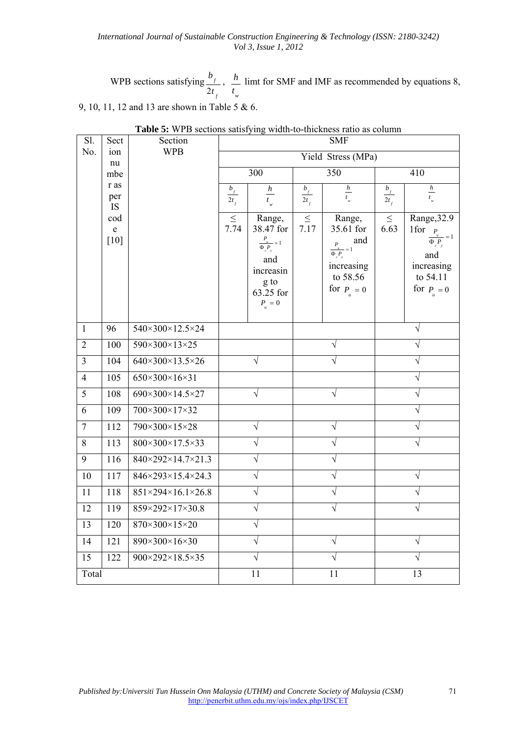WPB sections satisfying *f f t b* 2 , *w t*  $\frac{h}{m}$  limt for SMF and IMF as recommended by equations 8,

9, 10, 11, 12 and 13 are shown in Table 5 & 6.

| Sl.            | Sect                         | Section                                  | <b>SMF</b>                     |                                                                                                             |                                           |                                                                                                             |                    |                                                                                                         |  |
|----------------|------------------------------|------------------------------------------|--------------------------------|-------------------------------------------------------------------------------------------------------------|-------------------------------------------|-------------------------------------------------------------------------------------------------------------|--------------------|---------------------------------------------------------------------------------------------------------|--|
| No.            | ion<br>nu                    | <b>WPB</b>                               |                                |                                                                                                             | Yield Stress (MPa)                        |                                                                                                             |                    |                                                                                                         |  |
|                | mbe                          |                                          |                                | 300                                                                                                         |                                           | 350                                                                                                         |                    | 410                                                                                                     |  |
|                | r as<br>per<br><b>IS</b>     |                                          | $\frac{b_{_f}}{ }$<br>$2t_{f}$ | $\frac{h}{t_w}$                                                                                             | $\frac{b_{_f}}{ }$<br>$\overline{2t_{f}}$ | $\frac{h}{t_w}$                                                                                             | $\frac{b_f}{2t_f}$ | $\frac{h}{t_w}$                                                                                         |  |
|                | cod<br>$\mathbf e$<br>$[10]$ |                                          | $\leq$<br>7.74                 | Range,<br>38.47 for<br>$\frac{P_u}{\Phi_c P_y} = 1$<br>and<br>increasin<br>g to<br>63.25 for<br>$P_{u} = 0$ | $\leq$<br>7.17                            | Range,<br>35.61 for<br>and<br>$\frac{P_u}{\Phi_c P_y} = 1$<br>increasing<br>to 58.56<br>for $P_{\perp} = 0$ | $\leq$<br>6.63     | Range, 32.9<br>1for<br>$P_{u}$<br>$\overline{\Phi} P$<br>and<br>increasing<br>to 54.11<br>for $P_u = 0$ |  |
| $\mathbf{1}$   | 96                           | 540×300×12.5×24                          |                                |                                                                                                             |                                           |                                                                                                             |                    | $\sqrt{}$                                                                                               |  |
| $\overline{2}$ | 100                          | 590×300×13×25                            |                                |                                                                                                             | $\sqrt{}$                                 |                                                                                                             |                    | $\sqrt{ }$                                                                                              |  |
| $\overline{3}$ | 104                          | 640×300×13.5×26                          |                                | V                                                                                                           |                                           | $\sqrt{}$                                                                                                   |                    | V                                                                                                       |  |
| $\overline{4}$ | 105                          | 650×300×16×31                            |                                |                                                                                                             |                                           |                                                                                                             |                    | V                                                                                                       |  |
| 5              | 108                          | 690×300×14.5×27                          |                                | $\sqrt{}$                                                                                                   |                                           | $\sqrt{}$                                                                                                   |                    | $\sqrt{}$                                                                                               |  |
| 6              | 109                          | 700×300×17×32                            |                                |                                                                                                             |                                           |                                                                                                             |                    | V                                                                                                       |  |
| $\overline{7}$ | 112                          | 790×300×15×28                            |                                | $\sqrt{}$                                                                                                   |                                           | $\sqrt{}$                                                                                                   |                    | $\sqrt{}$                                                                                               |  |
| $\,8\,$        | 113                          | 800×300×17.5×33                          |                                | V                                                                                                           |                                           | $\sqrt{}$                                                                                                   |                    | $\sqrt{}$                                                                                               |  |
| 9              | 116                          | 840×292×14.7×21.3                        |                                | $\sqrt{}$                                                                                                   |                                           | $\sqrt{}$                                                                                                   |                    |                                                                                                         |  |
| 10             | 117                          | 846×293×15.4×24.3                        |                                | $\sqrt{}$                                                                                                   |                                           | $\sqrt{}$                                                                                                   |                    | $\sqrt{ }$                                                                                              |  |
| 11             | 118                          | $851 \times 294 \times 16.1 \times 26.8$ |                                | V                                                                                                           |                                           | $\sqrt{}$                                                                                                   |                    |                                                                                                         |  |
| 12             | 119                          | 859×292×17×30.8                          |                                | $\sqrt{}$                                                                                                   |                                           | $\sqrt{}$                                                                                                   |                    | $\sqrt{}$                                                                                               |  |
| 13             | 120                          | 870×300×15×20                            |                                | $\sqrt{}$                                                                                                   |                                           |                                                                                                             |                    |                                                                                                         |  |
| 14             | 121                          | 890×300×16×30                            |                                | $\sqrt{}$                                                                                                   |                                           | $\sqrt{}$                                                                                                   |                    | $\sqrt{ }$                                                                                              |  |
| 15             | 122                          | 900×292×18.5×35                          |                                | $\sqrt{}$                                                                                                   |                                           | V                                                                                                           |                    | V                                                                                                       |  |
| Total          |                              |                                          |                                | 11                                                                                                          |                                           | 11                                                                                                          | 13                 |                                                                                                         |  |

**Table 5:** WPB sections satisfying width-to-thickness ratio as column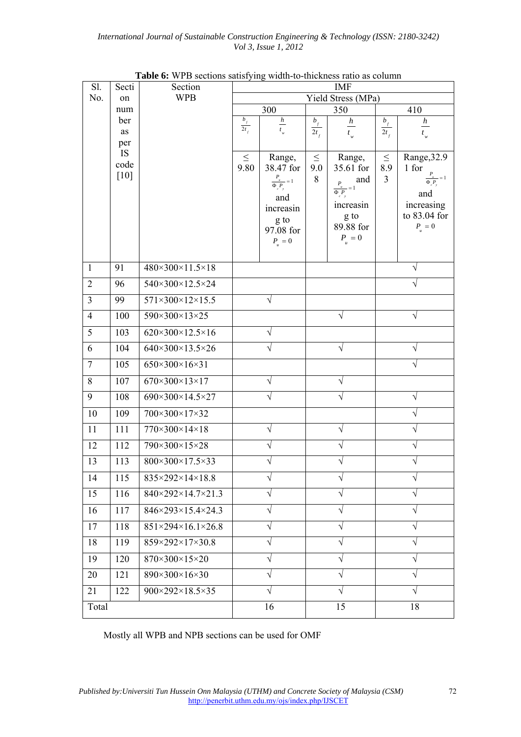| Sl.            | Secti     | Section                                |                      |                              |                   | <b>IMF</b><br>Yield Stress (MPa) |                   |                             |
|----------------|-----------|----------------------------------------|----------------------|------------------------------|-------------------|----------------------------------|-------------------|-----------------------------|
| No.            | on        | <b>WPB</b>                             |                      |                              |                   |                                  |                   |                             |
|                | num       |                                        |                      | 300                          |                   | 350                              |                   | 410                         |
|                | ber<br>as |                                        | $b_{_f}$<br>$2t_{i}$ | $\frac{h}{t_w}$              | $b_{_f}$          | h                                | $b_{_f}$          | $\boldsymbol{h}$            |
|                | per       |                                        |                      |                              | $2t$ <sub>f</sub> | $t_{w}$                          | $2t$ <sub>f</sub> | $t_{_w}$                    |
|                | <b>IS</b> |                                        | $\leq$               | Range,                       | $\leq$            | Range,                           | $\leq$            | Range, 32.9                 |
|                | code      |                                        | 9.80                 | 38.47 for                    | 9.0               | 35.61 for                        | 8.9               | 1 for                       |
|                | $[10]$    |                                        |                      | $\frac{P_u}{\Phi_e P_u} = 1$ | 8                 | and<br>$\frac{P_{u}}{P_{u}}=1$   | $\overline{3}$    | $\overline{\Phi_{c}P_{y}}$  |
|                |           |                                        |                      | and                          |                   | $\overline{\Phi_{c}P_{y}}$       |                   | and                         |
|                |           |                                        |                      | increasin                    |                   | increasin                        |                   | increasing                  |
|                |           |                                        |                      | g to                         |                   | g to<br>89.88 for                |                   | to 83.04 for<br>$P_{u} = 0$ |
|                |           |                                        |                      | 97.08 for                    |                   | $P_{_{u}}=0$                     |                   |                             |
|                |           |                                        |                      | $P_{u} = 0$                  |                   |                                  |                   |                             |
| $\mathbf{1}$   | 91        | $480 \times 300 \times 11.5 \times 18$ |                      |                              |                   |                                  |                   | $\sqrt{}$                   |
| $\overline{2}$ | 96        | 540×300×12.5×24                        |                      |                              |                   |                                  |                   | $\sqrt{}$                   |
| $\overline{3}$ | 99        | $571 \times 300 \times 12 \times 15.5$ |                      | $\sqrt{}$                    |                   |                                  |                   |                             |
| $\overline{4}$ | 100       | 590×300×13×25                          |                      |                              |                   | $\sqrt{}$                        |                   | $\sqrt{}$                   |
| 5              | 103       | $620\times300\times12.5\times16$       |                      | $\sqrt{}$                    |                   |                                  |                   |                             |
| 6              | 104       | 640×300×13.5×26                        |                      |                              |                   | V                                |                   | V                           |
| $\overline{7}$ | 105       | 650×300×16×31                          |                      |                              |                   |                                  |                   | V                           |
| $8\,$          | 107       | 670×300×13×17                          |                      | V                            |                   | V                                |                   |                             |
| 9              | 108       | 690×300×14.5×27                        |                      | V                            |                   | V                                |                   | $\sqrt{}$                   |
| 10             | 109       | 700×300×17×32                          |                      |                              |                   |                                  |                   | V                           |
| 11             | 111       | $770\times300\times14\times18$         |                      | V                            |                   | $\sqrt{}$                        |                   | V                           |
| 12             | 112       | 790×300×15×28                          |                      |                              |                   | V                                |                   | $\sqrt{}$                   |
| 13             | 113       | 800×300×17.5×33                        |                      |                              |                   |                                  |                   | N                           |
| 14             | 115       | 835×292×14×18.8                        |                      | $\sqrt{}$                    |                   | $\sqrt{}$                        |                   | $\sqrt{}$                   |
| 15             | 116       | 840×292×14.7×21.3                      |                      | V                            |                   | $\sqrt{}$                        |                   | N                           |
| 16             | 117       | 846×293×15.4×24.3                      |                      | $\sqrt{}$                    |                   | $\sqrt{}$                        |                   | $\sqrt{}$                   |
| 17             | 118       | $851\times294\times16.1\times26.8$     |                      | $\sqrt{}$                    |                   | $\sqrt{}$                        |                   | $\sqrt{ }$                  |
| 18             | 119       | 859×292×17×30.8                        |                      | $\sqrt{}$                    |                   | $\sqrt{}$                        |                   | V                           |
| 19             | 120       | 870×300×15×20                          |                      | $\sqrt{}$                    |                   | $\sqrt{}$                        |                   | N                           |
| 20             | 121       | 890×300×16×30                          |                      | V                            |                   | $\sqrt{}$                        |                   | V                           |
| 21             | 122       | 900×292×18.5×35                        |                      | $\sqrt{}$                    |                   | $\sqrt{}$                        |                   | V                           |
| Total          |           |                                        |                      | 16                           |                   | 15                               |                   | 18                          |

**Table 6:** WPB sections satisfying width-to-thickness ratio as column

Mostly all WPB and NPB sections can be used for OMF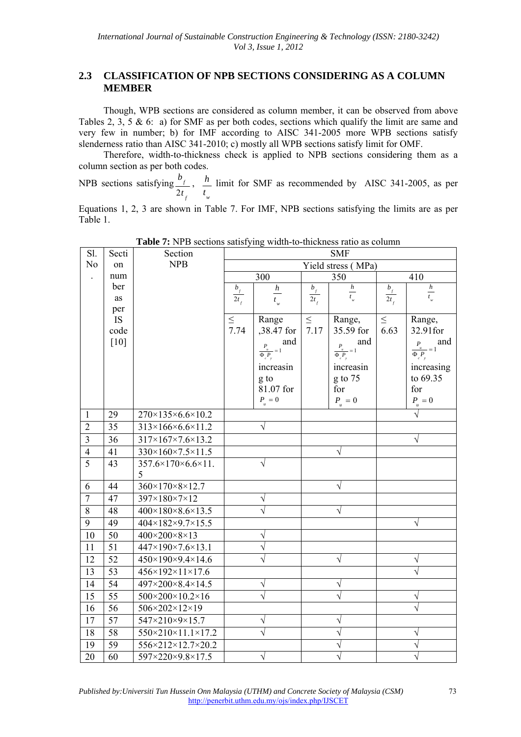# **2.3 CLASSIFICATION OF NPB SECTIONS CONSIDERING AS A COLUMN MEMBER**

Though, WPB sections are considered as column member, it can be observed from above Tables 2, 3, 5 & 6: a) for SMF as per both codes, sections which qualify the limit are same and very few in number; b) for IMF according to AISC 341-2005 more WPB sections satisfy slenderness ratio than AISC 341-2010; c) mostly all WPB sections satisfy limit for OMF.

Therefore, width-to-thickness check is applied to NPB sections considering them as a column section as per both codes.

NPB sections satisfying *f f t b* 2 , *w t*  $\frac{h}{m}$  limit for SMF as recommended by AISC 341-2005, as per

Equations 1, 2, 3 are shown in Table 7. For IMF, NPB sections satisfying the limits are as per Table 1.

| Sl.            | Secti                  | Section                                 |                    |                                       |          | <b>SMF</b>                                            |                    |                             |
|----------------|------------------------|-----------------------------------------|--------------------|---------------------------------------|----------|-------------------------------------------------------|--------------------|-----------------------------|
| N <sub>o</sub> | on                     | <b>NPB</b>                              |                    |                                       |          | Yield stress (MPa)                                    |                    |                             |
|                | num                    |                                         |                    | $\overline{3}00$                      |          | 350                                                   |                    | 410                         |
|                | ber                    |                                         | $\frac{b_f}{2t_f}$ | $\boldsymbol{h}$                      | $b_{_f}$ | $\boldsymbol{h}$                                      | $\frac{b_f}{2t_f}$ | $\frac{h}{t_{w}}$           |
|                | as                     |                                         |                    | $t_w$                                 | $2t_{f}$ | $t_{w}$                                               |                    |                             |
|                | per<br>IS <sub>1</sub> |                                         | $\leq$             | Range                                 | $\leq$   | Range,                                                | $\leq$             | Range,                      |
|                | code                   |                                         | 7.74               | ,38.47 for                            | 7.17     | 35.59 for                                             | 6.63               | 32.91for                    |
|                | [10]                   |                                         |                    | and<br>$P_{u}$                        |          | and                                                   |                    | $\frac{P_{u}}{P_{u}}=1$ and |
|                |                        |                                         |                    | $- = 1$<br>$\overline{\Phi_{c}P_{v}}$ |          | $\frac{P_{u}}{P_{u}}=1$<br>$\overline{\Phi_{c}P_{v}}$ |                    | $\overline{\Phi_{c}P_{y}}$  |
|                |                        |                                         |                    | increasin                             |          | increasin                                             |                    | increasing                  |
|                |                        |                                         |                    | g to                                  |          | g to 75                                               |                    | to 69.35                    |
|                |                        |                                         |                    | 81.07 for                             |          | for                                                   |                    | for                         |
|                |                        |                                         |                    | $P_{_u}=0$                            |          | $P_{_u}=0$                                            |                    | $P_{_{u}}=0$                |
| $\mathbf{1}$   | 29                     | $270 \times 135 \times 6.6 \times 10.2$ |                    |                                       |          |                                                       |                    | $\sqrt{}$                   |
| $\sqrt{2}$     | 35                     | $313\times166\times6.6\times11.2$       |                    | $\sqrt{}$                             |          |                                                       |                    |                             |
| $\overline{3}$ | 36                     | 317×167×7.6×13.2                        |                    |                                       |          |                                                       |                    | V                           |
| $\overline{4}$ | 41                     | 330×160×7.5×11.5                        |                    |                                       |          | $\sqrt{}$                                             |                    |                             |
| $\overline{5}$ | 43                     | 357.6×170×6.6×11.                       |                    | $\sqrt{}$                             |          |                                                       |                    |                             |
|                |                        | 5                                       |                    |                                       |          |                                                       |                    |                             |
| 6              | 44                     | 360×170×8×12.7                          |                    |                                       |          | $\sqrt{}$                                             |                    |                             |
| $\overline{7}$ | 47                     | 397×180×7×12                            |                    | V                                     |          |                                                       |                    |                             |
| $\overline{8}$ | 48                     | $400 \times 180 \times 8.6 \times 13.5$ |                    | $\sqrt{}$                             |          | $\sqrt{}$                                             |                    |                             |
| 9              | 49                     | $404 \times 182 \times 9.7 \times 15.5$ |                    |                                       |          |                                                       |                    | $\sqrt{}$                   |
| 10             | 50                     | 400×200×8×13                            |                    | $\sqrt{}$                             |          |                                                       |                    |                             |
| 11             | 51                     | 447×190×7.6×13.1                        |                    | $\sqrt{}$                             |          |                                                       |                    |                             |
| 12             | 52                     | 450×190×9.4×14.6                        |                    | $\sqrt{}$                             |          | V                                                     |                    | V                           |
| 13             | 53                     | $456 \times 192 \times 11 \times 17.6$  |                    |                                       |          |                                                       |                    | $\sqrt{ }$                  |
| 14             | 54                     | 497×200×8.4×14.5                        |                    | V                                     |          | $\sqrt{}$                                             |                    |                             |
| 15             | $\overline{55}$        | $500 \times 200 \times 10.2 \times 16$  |                    | $\sqrt{}$                             |          |                                                       |                    | $\sqrt{}$                   |
| 16             | 56                     | 506×202×12×19                           |                    |                                       |          |                                                       |                    |                             |
| 17             | 57                     | 547×210×9×15.7                          |                    | V                                     |          | V                                                     |                    |                             |
| 18             | 58                     | 550×210×11.1×17.2                       |                    | $\sqrt{}$                             |          | V                                                     |                    | V                           |
| 19             | 59                     | 556×212×12.7×20.2                       |                    |                                       |          | $\sqrt{}$                                             |                    | $\sqrt{}$                   |
| 20             | 60                     | 597×220×9.8×17.5                        |                    | $\sqrt{}$                             |          |                                                       |                    | $\overline{\mathsf{v}}$     |

**Table 7:** NPB sections satisfying width-to-thickness ratio as column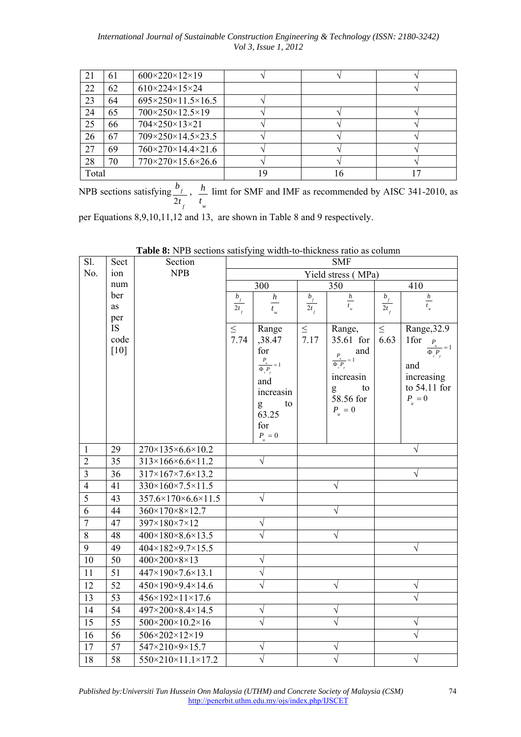| 21    | 61 | $600 \times 220 \times 12 \times 19$     |    |    |  |
|-------|----|------------------------------------------|----|----|--|
| 22    | 62 | $610 \times 224 \times 15 \times 24$     |    |    |  |
| 23    | 64 | $695 \times 250 \times 11.5 \times 16.5$ |    |    |  |
| 24    | 65 | 700×250×12.5×19                          |    |    |  |
| 25    | 66 | 704×250×13×21                            |    |    |  |
| 26    | 67 | $709 \times 250 \times 14.5 \times 23.5$ |    |    |  |
| 27    | 69 | $760 \times 270 \times 14.4 \times 21.6$ |    |    |  |
| 28    | 70 | $770\times270\times15.6\times26.6$       |    |    |  |
| Total |    |                                          | 19 | 16 |  |

NPB sections satisfying *f f t b* 2 , *w t*  $h$  limt for SMF and IMF as recommended by AISC 341-2010, as

per Equations 8,9,10,11,12 and 13, are shown in Table 8 and 9 respectively.

| Sl.            | Sect            | Section                                 |                        |                                                       |          | <b>SMF</b>                             |                          |                         |
|----------------|-----------------|-----------------------------------------|------------------------|-------------------------------------------------------|----------|----------------------------------------|--------------------------|-------------------------|
| No.            | ion             | <b>NPB</b>                              | Yield stress (MPa)     |                                                       |          |                                        |                          |                         |
|                | num             |                                         |                        | 300                                                   |          | 350                                    |                          | 410                     |
|                | ber             |                                         | $\frac{b_{f}}{2t_{f}}$ | $\boldsymbol{h}$                                      | $b_{_f}$ | $\frac{h}{t_w}$                        | $\frac{b_{_f}}{2t_{_f}}$ | $\frac{h}{t_w}$         |
|                | as<br>per       |                                         |                        | $t_{w}$                                               | $2t_{f}$ |                                        |                          |                         |
|                | <b>IS</b>       |                                         | $\leq$                 | Range                                                 | $\leq$   | Range,                                 | $\leq$                   | Range, 32.9             |
|                | code            |                                         | 7.74                   | ,38.47                                                | 7.17     | 35.61 for                              | 6.63                     | 1for<br>$P_{u}$         |
|                | $[10]$          |                                         |                        | for                                                   |          | and<br>$\frac{P_u}{\sqrt{2}}$          |                          | $=1$<br>$\Phi_{c}P_{v}$ |
|                |                 |                                         |                        | $\frac{P_{u}}{P_{u}}=1$<br>$\overline{\Phi_{c}P_{y}}$ |          | $- = 1$<br>$\overline{\Phi_{c} P_{y}}$ |                          | and                     |
|                |                 |                                         |                        | and                                                   |          | increasin                              |                          | increasing              |
|                |                 |                                         |                        | increasin                                             |          | to<br>g                                |                          | to 54.11 for            |
|                |                 |                                         |                        | to<br>g                                               |          | 58.56 for                              |                          | $P_{u} = 0$             |
|                |                 |                                         |                        | 63.25                                                 |          | $P_{_u}=0$                             |                          |                         |
|                |                 |                                         |                        | for                                                   |          |                                        |                          |                         |
|                |                 |                                         |                        | $P_{_{u}}=0$                                          |          |                                        |                          |                         |
| $\mathbf{1}$   | 29              | $270 \times 135 \times 6.6 \times 10.2$ |                        |                                                       |          |                                        |                          | $\sqrt{ }$              |
| $\overline{2}$ | 35              | $313\times166\times6.6\times11.2$       |                        | $\sqrt{}$                                             |          |                                        |                          |                         |
| $\overline{3}$ | 36              | $317\times167\times7.6\times13.2$       |                        |                                                       |          |                                        |                          | $\sqrt{}$               |
| $\overline{4}$ | 41              | 330×160×7.5×11.5                        |                        |                                                       |          | $\sqrt{}$                              |                          |                         |
| $\overline{5}$ | 43              | $357.6\times170\times6.6\times11.5$     |                        | $\sqrt{}$                                             |          |                                        |                          |                         |
| 6              | 44              | $360 \times 170 \times 8 \times 12.7$   |                        |                                                       |          | V                                      |                          |                         |
| $\overline{7}$ | 47              | 397×180×7×12                            |                        | $\sqrt{}$                                             |          |                                        |                          |                         |
| $\overline{8}$ | 48              | $400 \times 180 \times 8.6 \times 13.5$ |                        | $\sqrt{}$                                             |          | V                                      |                          |                         |
| 9              | 49              | 404×182×9.7×15.5                        |                        |                                                       |          |                                        |                          | V                       |
| 10             | 50              | 400×200×8×13                            |                        | V                                                     |          |                                        |                          |                         |
| 11             | 51              | 447×190×7.6×13.1                        |                        | $\sqrt{}$                                             |          |                                        |                          |                         |
| 12             | 52              | 450×190×9.4×14.6                        |                        | $\sqrt{}$                                             |          | $\sqrt{}$                              |                          | $\sqrt{}$               |
| 13             | 53              | $456 \times 192 \times 11 \times 17.6$  |                        |                                                       |          |                                        |                          | V                       |
| 14             | $\overline{54}$ | $497 \times 200 \times 8.4 \times 14.5$ |                        | $\sqrt{}$                                             |          | $\sqrt{ }$                             |                          |                         |
| 15             | $\overline{55}$ | $500 \times 200 \times 10.2 \times 16$  |                        | $\sqrt{}$                                             |          | $\sqrt{}$                              |                          | $\sqrt{}$               |
| 16             | 56              | 506×202×12×19                           |                        |                                                       |          |                                        |                          | $\sqrt{}$               |
| 17             | 57              | 547×210×9×15.7                          |                        | V                                                     |          | V                                      |                          |                         |
| 18             | $\overline{58}$ | 550×210×11.1×17.2                       |                        | V                                                     |          | V                                      |                          | $\sqrt{}$               |

**Table 8:** NPB sections satisfying width-to-thickness ratio as column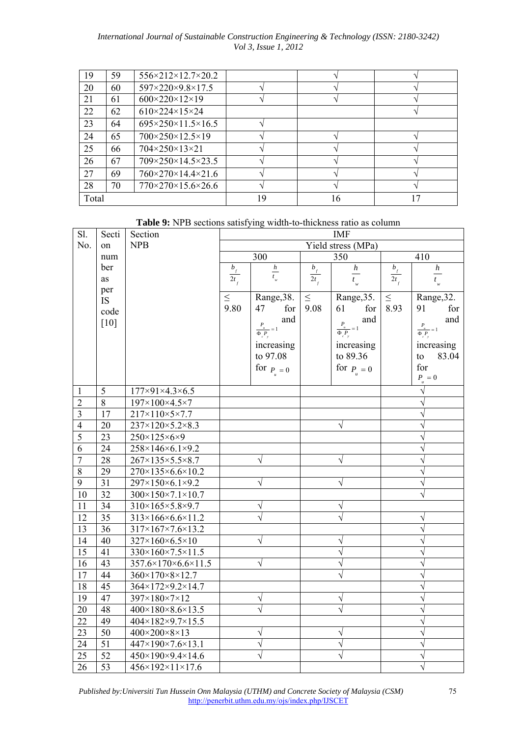| 19    | 59 | $556 \times 212 \times 12.7 \times 20.2$ |    |    |  |
|-------|----|------------------------------------------|----|----|--|
| 20    | 60 | 597×220×9.8×17.5                         |    |    |  |
| 21    | 61 | $600 \times 220 \times 12 \times 19$     |    |    |  |
| 22    | 62 | $610 \times 224 \times 15 \times 24$     |    |    |  |
| 23    | 64 | $695 \times 250 \times 11.5 \times 16.5$ |    |    |  |
| 24    | 65 | $700 \times 250 \times 12.5 \times 19$   |    |    |  |
| 25    | 66 | $704\times250\times13\times21$           |    |    |  |
| 26    | 67 | 709×250×14.5×23.5                        |    |    |  |
| 27    | 69 | $760 \times 270 \times 14.4 \times 21.6$ |    |    |  |
| 28    | 70 | $770\times270\times15.6\times26.6$       |    |    |  |
| Total |    |                                          | 19 | 16 |  |

**Table 9:** NPB sections satisfying width-to-thickness ratio as column

| $\overline{SI}$ .       | Secti           | Section                                 |                            |                                                            |                    | <b>IMF</b>                   |          |                           |
|-------------------------|-----------------|-----------------------------------------|----------------------------|------------------------------------------------------------|--------------------|------------------------------|----------|---------------------------|
| No.                     | on              | <b>NPB</b>                              |                            |                                                            | Yield stress (MPa) |                              |          |                           |
|                         | num             |                                         |                            | $\overline{300}$                                           |                    | $\overline{350}$             |          | 410                       |
|                         | ber             |                                         | $b_{\scriptscriptstyle f}$ | $\frac{h}{t_w}$                                            | $b_{_f}$           | $\frac{h}{}$                 | $b_{_f}$ | $\frac{h}{\sqrt{2}}$      |
|                         | as              |                                         | $\overline{2}t_{f}$        |                                                            | $\overline{2}t_f$  | $t_{w}$                      | $2t_{f}$ | $t_{w}$                   |
|                         | per             |                                         | $\leq$                     | Range, 38.                                                 | $\leq$             | Range, 35.                   | $\leq$   | Range, 32.                |
|                         | <b>IS</b>       |                                         | 9.80                       | 47<br>for                                                  | 9.08               | 61<br>for                    | 8.93     | 91<br>for                 |
|                         | code            |                                         |                            | and                                                        |                    | and                          |          | and                       |
|                         | $[10]$          |                                         |                            | $\boldsymbol{P}$<br>$\frac{u}{\Phi\int\limits_{c^{*}y}}=1$ |                    | $\frac{P_u}{\Phi_c P_y} = 1$ |          | $P_{u}$<br>$-1$           |
|                         |                 |                                         |                            |                                                            |                    |                              |          | $\Phi \, P$               |
|                         |                 |                                         |                            | increasing<br>to 97.08                                     |                    | increasing<br>to 89.36       |          | increasing<br>83.04<br>to |
|                         |                 |                                         |                            |                                                            |                    |                              |          | for                       |
|                         |                 |                                         |                            | for $P_{u}=0$                                              |                    | for $P_{u} = 0$              |          | $P_{_{u}}=0$              |
| 1                       | 5               | $177 \times 91 \times 4.3 \times 6.5$   |                            |                                                            |                    |                              |          | $\sqrt{ }$                |
| $\sqrt{2}$              | 8               | $197\times100\times4.5\times7$          |                            |                                                            |                    |                              |          | $\sqrt{ }$                |
| $\overline{\mathbf{3}}$ | 17              | $217\times110\times5\times7.7$          |                            |                                                            |                    |                              |          | V                         |
| $\overline{4}$          | 20              | $237 \times 120 \times 5.2 \times 8.3$  |                            |                                                            |                    | V                            |          |                           |
| $\overline{5}$          | 23              | 250×125×6×9                             |                            |                                                            |                    |                              |          |                           |
| $\overline{6}$          | 24              | 258×146×6.1×9.2                         |                            |                                                            |                    |                              |          |                           |
| $\overline{7}$          | 28              | $267 \times 135 \times 5.5 \times 8.7$  |                            | $\sqrt{}$                                                  |                    | $\sqrt{}$                    |          | $\sqrt{}$                 |
| $\overline{8}$          | 29              | 270×135×6.6×10.2                        |                            |                                                            |                    |                              |          | $\sqrt{}$                 |
| $\overline{9}$          | $\overline{31}$ | 297×150×6.1×9.2                         |                            | $\sqrt{}$                                                  |                    | V                            |          | $\sqrt{}$                 |
| 10                      | $\overline{32}$ | $300 \times 150 \times 7.1 \times 10.7$ |                            |                                                            |                    |                              |          |                           |
| 11                      | 34              | $310\times165\times5.8\times9.7$        |                            | $\sqrt{}$                                                  |                    | $\sqrt{}$                    |          |                           |
| $\overline{12}$         | $\overline{35}$ | $313\times166\times6.6\times11.2$       |                            | $\bar{\sqrt{}}$                                            |                    |                              |          | $\sqrt{}$                 |
| $\overline{13}$         | 36              | 317×167×7.6×13.2                        |                            |                                                            |                    |                              |          |                           |
| $\overline{14}$         | 40              | 327×160×6.5×10                          |                            | $\sqrt{}$                                                  |                    | $\sqrt{}$                    |          |                           |
| $\overline{15}$         | 41              | 330×160×7.5×11.5                        |                            |                                                            |                    | $\sqrt{}$                    |          |                           |
| 16                      | 43              | 357.6×170×6.6×11.5                      |                            | $\sqrt{}$                                                  |                    | $\sqrt{}$                    |          | $\sqrt{}$                 |
| 17                      | 44              | 360×170×8×12.7                          |                            |                                                            |                    |                              |          |                           |
| 18                      | 45              | 364×172×9.2×14.7                        |                            |                                                            |                    |                              |          | N                         |
| 19                      | 47              | 397×180×7×12                            |                            | V                                                          |                    | V                            |          | V                         |
| 20                      | 48              | 400×180×8.6×13.5                        |                            |                                                            |                    |                              |          |                           |
| 22                      | 49              | 404×182×9.7×15.5                        |                            |                                                            |                    |                              |          |                           |
| 23                      | 50              | 400×200×8×13                            |                            | $\sqrt{}$                                                  |                    | $\sqrt{}$                    |          |                           |
| $\overline{24}$         | $\overline{51}$ | 447×190×7.6×13.1                        |                            | $\sqrt{}$                                                  |                    | $\sqrt{}$                    |          |                           |
| 25                      | 52              | $450 \times 190 \times 9.4 \times 14.6$ |                            | $\sqrt{}$                                                  |                    | $\sqrt{}$                    |          | $\sqrt{}$                 |
| $\overline{26}$         | $\overline{53}$ | 456×192×11×17.6                         |                            |                                                            |                    |                              |          | $\sqrt{}$                 |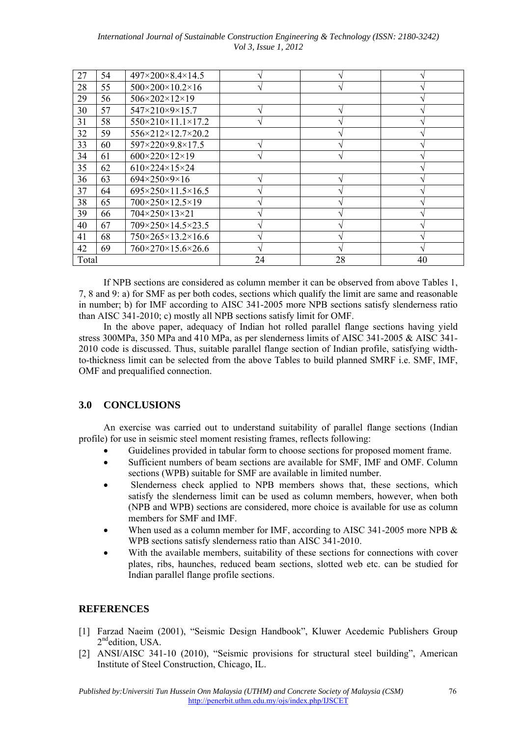| International Journal of Sustainable Construction Engineering & Technology (ISSN: 2180-3242) |                             |  |  |  |
|----------------------------------------------------------------------------------------------|-----------------------------|--|--|--|
|                                                                                              | <i>Vol 3, Issue 1, 2012</i> |  |  |  |

| 27    | 54 | $497 \times 200 \times 8.4 \times 14.5$  |    |    |    |
|-------|----|------------------------------------------|----|----|----|
| 28    | 55 | $500 \times 200 \times 10.2 \times 16$   |    |    |    |
| 29    | 56 | $506 \times 202 \times 12 \times 19$     |    |    |    |
| 30    | 57 | $547 \times 210 \times 9 \times 15.7$    |    |    |    |
| 31    | 58 | $550 \times 210 \times 11.1 \times 17.2$ |    |    |    |
| 32    | 59 | $556 \times 212 \times 12.7 \times 20.2$ |    |    |    |
| 33    | 60 | 597×220×9.8×17.5                         |    |    |    |
| 34    | 61 | $600 \times 220 \times 12 \times 19$     |    |    |    |
| 35    | 62 | $610\times224\times15\times24$           |    |    |    |
| 36    | 63 | $694 \times 250 \times 9 \times 16$      |    |    |    |
| 37    | 64 | $695 \times 250 \times 11.5 \times 16.5$ |    |    |    |
| 38    | 65 | 700×250×12.5×19                          |    |    |    |
| 39    | 66 | 704×250×13×21                            |    |    |    |
| 40    | 67 | 709×250×14.5×23.5                        |    |    |    |
| 41    | 68 | $750 \times 265 \times 13.2 \times 16.6$ |    |    |    |
| 42    | 69 | 760×270×15.6×26.6                        |    |    |    |
| Total |    |                                          | 24 | 28 | 40 |

If NPB sections are considered as column member it can be observed from above Tables 1, 7, 8 and 9: a) for SMF as per both codes, sections which qualify the limit are same and reasonable in number; b) for IMF according to AISC 341-2005 more NPB sections satisfy slenderness ratio than AISC 341-2010; c) mostly all NPB sections satisfy limit for OMF.

In the above paper, adequacy of Indian hot rolled parallel flange sections having yield stress 300MPa, 350 MPa and 410 MPa, as per slenderness limits of AISC 341-2005 & AISC 341- 2010 code is discussed. Thus, suitable parallel flange section of Indian profile, satisfying widthto-thickness limit can be selected from the above Tables to build planned SMRF i.e. SMF, IMF, OMF and prequalified connection.

## **3.0 CONCLUSIONS**

An exercise was carried out to understand suitability of parallel flange sections (Indian profile) for use in seismic steel moment resisting frames, reflects following:

- Guidelines provided in tabular form to choose sections for proposed moment frame.
- Sufficient numbers of beam sections are available for SMF, IMF and OMF. Column sections (WPB) suitable for SMF are available in limited number.
- Slenderness check applied to NPB members shows that, these sections, which satisfy the slenderness limit can be used as column members, however, when both (NPB and WPB) sections are considered, more choice is available for use as column members for SMF and IMF.
- When used as a column member for IMF, according to AISC 341-2005 more NPB & WPB sections satisfy slenderness ratio than AISC 341-2010.
- With the available members, suitability of these sections for connections with cover plates, ribs, haunches, reduced beam sections, slotted web etc. can be studied for Indian parallel flange profile sections.

## **REFERENCES**

- [1] Farzad Naeim (2001), "Seismic Design Handbook", Kluwer Acedemic Publishers Group 2<sup>nd</sup>edition, USA.
- [2] ANSI/AISC 341-10 (2010), "Seismic provisions for structural steel building", American Institute of Steel Construction, Chicago, IL.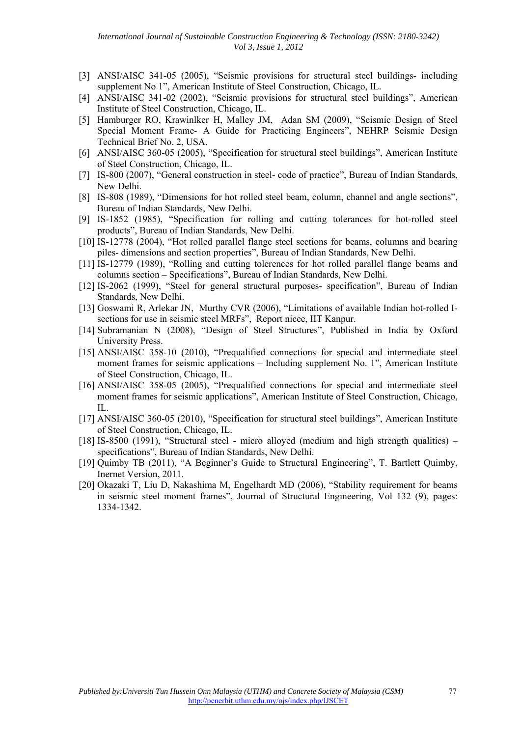- [3] ANSI/AISC 341-05 (2005), "Seismic provisions for structural steel buildings- including supplement No 1", American Institute of Steel Construction, Chicago, IL.
- [4] ANSI/AISC 341-02 (2002), "Seismic provisions for structural steel buildings", American Institute of Steel Construction, Chicago, IL.
- [5] Hamburger RO, Krawinlker H, Malley JM, Adan SM (2009), "Seismic Design of Steel Special Moment Frame- A Guide for Practicing Engineers", NEHRP Seismic Design Technical Brief No. 2, USA.
- [6] ANSI/AISC 360-05 (2005), "Specification for structural steel buildings", American Institute of Steel Construction, Chicago, IL.
- [7] IS-800 (2007), "General construction in steel- code of practice", Bureau of Indian Standards, New Delhi.
- [8] IS-808 (1989), "Dimensions for hot rolled steel beam, column, channel and angle sections", Bureau of Indian Standards, New Delhi.
- [9] IS-1852 (1985), "Specification for rolling and cutting tolerances for hot-rolled steel products", Bureau of Indian Standards, New Delhi.
- [10] IS-12778 (2004), "Hot rolled parallel flange steel sections for beams, columns and bearing piles- dimensions and section properties", Bureau of Indian Standards, New Delhi.
- [11] IS-12779 (1989), "Rolling and cutting tolerences for hot rolled parallel flange beams and columns section – Specifications", Bureau of Indian Standards, New Delhi.
- [12] IS-2062 (1999), "Steel for general structural purposes- specification", Bureau of Indian Standards, New Delhi.
- [13] Goswami R, Arlekar JN, Murthy CVR (2006), "Limitations of available Indian hot-rolled Isections for use in seismic steel MRFs", Report nicee, IIT Kanpur.
- [14] Subramanian N (2008), "Design of Steel Structures", Published in India by Oxford University Press.
- [15] ANSI/AISC 358-10 (2010), "Prequalified connections for special and intermediate steel moment frames for seismic applications – Including supplement No. 1", American Institute of Steel Construction, Chicago, IL.
- [16] ANSI/AISC 358-05 (2005), "Prequalified connections for special and intermediate steel moment frames for seismic applications", American Institute of Steel Construction, Chicago, IL.
- [17] ANSI/AISC 360-05 (2010), "Specification for structural steel buildings", American Institute of Steel Construction, Chicago, IL.
- [18] IS-8500 (1991), "Structural steel micro alloyed (medium and high strength qualities) specifications", Bureau of Indian Standards, New Delhi.
- [19] Quimby TB (2011), "A Beginner's Guide to Structural Engineering", T. Bartlett Quimby, Inernet Version, 2011.
- [20] Okazaki T, Liu D, Nakashima M, Engelhardt MD (2006), "Stability requirement for beams in seismic steel moment frames", Journal of Structural Engineering, Vol 132 (9), pages: 1334-1342.